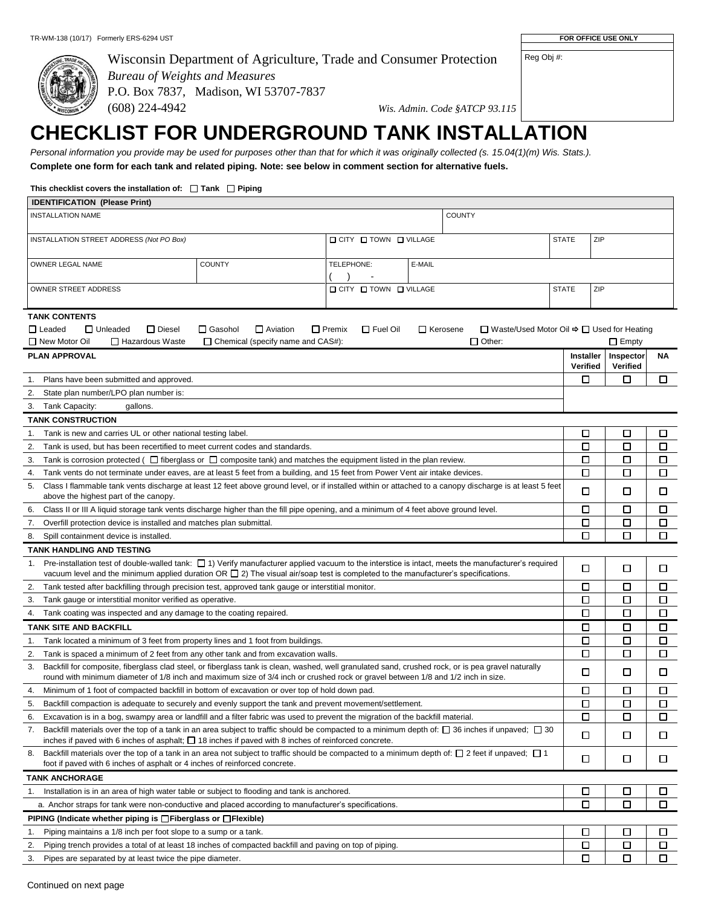**IDENTIFICATION (Please Print)**

# Wisconsin Department of Agriculture, Trade and Consumer Protection

*Bureau of Weights and Measures*

P.O. Box 7837, Madison, WI 53707-7837 (608) 224-4942 *Wis. Admin. Code §ATCP 93.115*

# **CHECKLIST FOR UNDERGROUND TANK INSTALLATION**

*Personal information you provide may be used for purposes other than that for which it was originally collected (s. 15.04(1)(m) Wis. Stats.).* **Complete one form for each tank and related piping. Note: see below in comment section for alternative fuels.**

#### This checklist covers the installation of:  $\Box$  Tank  $\Box$  Piping

|                                                                                    | IDENTIFIUATIUN (FIEASE FIIIII)                                                                                                                                                                                                                                                                         |                                          |                                  |                 |                                                         |                              |                       |        |
|------------------------------------------------------------------------------------|--------------------------------------------------------------------------------------------------------------------------------------------------------------------------------------------------------------------------------------------------------------------------------------------------------|------------------------------------------|----------------------------------|-----------------|---------------------------------------------------------|------------------------------|-----------------------|--------|
|                                                                                    | <b>INSTALLATION NAME</b>                                                                                                                                                                                                                                                                               |                                          |                                  |                 | <b>COUNTY</b>                                           |                              |                       |        |
| INSTALLATION STREET ADDRESS (Not PO Box)                                           |                                                                                                                                                                                                                                                                                                        |                                          | □ CITY □ TOWN □ VILLAGE          |                 |                                                         | <b>STATE</b>                 | ZIP                   |        |
|                                                                                    |                                                                                                                                                                                                                                                                                                        |                                          |                                  |                 |                                                         |                              |                       |        |
|                                                                                    | OWNER LEGAL NAME                                                                                                                                                                                                                                                                                       | <b>COUNTY</b>                            | TELEPHONE:                       | E-MAIL          |                                                         |                              |                       |        |
|                                                                                    | OWNER STREET ADDRESS                                                                                                                                                                                                                                                                                   |                                          | □ CITY □ TOWN □ VILLAGE          |                 |                                                         | <b>STATE</b>                 | ZIP                   |        |
|                                                                                    |                                                                                                                                                                                                                                                                                                        |                                          |                                  |                 |                                                         |                              |                       |        |
|                                                                                    | <b>TANK CONTENTS</b>                                                                                                                                                                                                                                                                                   |                                          |                                  |                 |                                                         |                              |                       |        |
|                                                                                    | $\Box$ Leaded<br>$\Box$ Diesel<br>$\Box$ Unleaded                                                                                                                                                                                                                                                      | □ Gasohol<br>$\Box$ Aviation             | $\Box$ Fuel Oil<br>$\Box$ Premix | $\Box$ Kerosene | □ Waste/Used Motor Oil $\Rightarrow$ □ Used for Heating |                              |                       |        |
|                                                                                    | □ New Motor Oil<br>□ Hazardous Waste                                                                                                                                                                                                                                                                   | $\Box$ Chemical (specify name and CAS#): |                                  |                 | $\Box$ Other:                                           |                              | $\Box$ Empty          |        |
|                                                                                    | <b>PLAN APPROVAL</b>                                                                                                                                                                                                                                                                                   |                                          |                                  |                 |                                                         | <b>Installer</b><br>Verified | Inspector<br>Verified | ΝA     |
|                                                                                    | 1. Plans have been submitted and approved.                                                                                                                                                                                                                                                             |                                          |                                  |                 |                                                         | □                            | □                     | □      |
|                                                                                    | 2. State plan number/LPO plan number is:                                                                                                                                                                                                                                                               |                                          |                                  |                 |                                                         |                              |                       |        |
|                                                                                    | 3. Tank Capacity:<br>gallons.                                                                                                                                                                                                                                                                          |                                          |                                  |                 |                                                         |                              |                       |        |
|                                                                                    | <b>TANK CONSTRUCTION</b>                                                                                                                                                                                                                                                                               |                                          |                                  |                 |                                                         |                              |                       |        |
|                                                                                    | 1. Tank is new and carries UL or other national testing label.                                                                                                                                                                                                                                         |                                          |                                  |                 |                                                         | □                            | □                     | □      |
| 2.                                                                                 | Tank is used, but has been recertified to meet current codes and standards.                                                                                                                                                                                                                            |                                          |                                  |                 |                                                         | □                            | □                     | □      |
| 3.                                                                                 | Tank is corrosion protected ( $\Box$ fiberglass or $\Box$ composite tank) and matches the equipment listed in the plan review.                                                                                                                                                                         |                                          |                                  |                 |                                                         | □                            | □                     | □      |
| 4.                                                                                 | Tank vents do not terminate under eaves, are at least 5 feet from a building, and 15 feet from Power Vent air intake devices.                                                                                                                                                                          |                                          |                                  |                 |                                                         | □                            | □                     | □      |
| 5.                                                                                 | Class I flammable tank vents discharge at least 12 feet above ground level, or if installed within or attached to a canopy discharge is at least 5 feet<br>above the highest part of the canopy.                                                                                                       |                                          |                                  |                 |                                                         |                              | □                     | □      |
|                                                                                    | 6. Class II or III A liquid storage tank vents discharge higher than the fill pipe opening, and a minimum of 4 feet above ground level.                                                                                                                                                                |                                          |                                  |                 |                                                         |                              | □                     | □      |
| 7.                                                                                 | Overfill protection device is installed and matches plan submittal.                                                                                                                                                                                                                                    |                                          |                                  |                 |                                                         | □                            | □                     | □      |
| 8.                                                                                 | Spill containment device is installed.                                                                                                                                                                                                                                                                 |                                          |                                  |                 |                                                         | □                            | □                     | □      |
|                                                                                    | <b>TANK HANDLING AND TESTING</b>                                                                                                                                                                                                                                                                       |                                          |                                  |                 |                                                         |                              |                       |        |
| 1.                                                                                 | Pre-installation test of double-walled tank: $\Box$ 1) Verify manufacturer applied vacuum to the interstice is intact, meets the manufacturer's required<br>vacuum level and the minimum applied duration $OR \square 2$ ) The visual air/soap test is completed to the manufacturer's specifications. |                                          |                                  |                 |                                                         |                              | □                     | □      |
| 2.                                                                                 | Tank tested after backfilling through precision test, approved tank gauge or interstitial monitor.                                                                                                                                                                                                     |                                          |                                  |                 |                                                         |                              | □                     | □      |
| 3.                                                                                 | Tank gauge or interstitial monitor verified as operative.                                                                                                                                                                                                                                              |                                          |                                  |                 |                                                         | □                            | □                     | □      |
| 4.                                                                                 | Tank coating was inspected and any damage to the coating repaired.                                                                                                                                                                                                                                     |                                          |                                  |                 |                                                         |                              | □                     | □      |
| <b>TANK SITE AND BACKFILL</b>                                                      |                                                                                                                                                                                                                                                                                                        |                                          |                                  |                 |                                                         | □                            | □                     | □      |
| 1. Tank located a minimum of 3 feet from property lines and 1 foot from buildings. |                                                                                                                                                                                                                                                                                                        |                                          |                                  |                 |                                                         | □                            | □                     | □      |
|                                                                                    | 2. Tank is spaced a minimum of 2 feet from any other tank and from excavation walls.                                                                                                                                                                                                                   |                                          |                                  |                 |                                                         | □                            | □                     | □      |
| 3.                                                                                 | Backfill for composite, fiberglass clad steel, or fiberglass tank is clean, washed, well granulated sand, crushed rock, or is pea gravel naturally<br>round with minimum diameter of 1/8 inch and maximum size of 3/4 inch or crushed rock or gravel between 1/8 and 1/2 inch in size.                 |                                          |                                  |                 |                                                         | □                            | □                     | □      |
| 4.                                                                                 | Minimum of 1 foot of compacted backfill in bottom of excavation or over top of hold down pad.                                                                                                                                                                                                          |                                          |                                  |                 |                                                         | □                            | □                     | □      |
| 5.                                                                                 | Backfill compaction is adequate to securely and evenly support the tank and prevent movement/settlement.                                                                                                                                                                                               |                                          |                                  |                 |                                                         | $\Box$                       | □                     | $\Box$ |
|                                                                                    | 6. Excavation is in a bog, swampy area or landfill and a filter fabric was used to prevent the migration of the backfill material.                                                                                                                                                                     |                                          |                                  |                 |                                                         | $\Box$                       | $\Box$                | $\Box$ |
| 7.                                                                                 | Backfill materials over the top of a tank in an area subject to traffic should be compacted to a minimum depth of: $\square$ 36 inches if unpaved; $\square$ 30<br>inches if paved with 6 inches of asphalt; $\square$ 18 inches if paved with 8 inches of reinforced concrete.                        |                                          |                                  |                 |                                                         | $\Box$                       | □                     | □      |
|                                                                                    | 8. Backfill materials over the top of a tank in an area not subject to traffic should be compacted to a minimum depth of: $\square$ 2 feet if unpaved; $\square$ 1<br>foot if paved with 6 inches of asphalt or 4 inches of reinforced concrete.                                                       |                                          |                                  |                 |                                                         | $\Box$                       | □                     | □      |
|                                                                                    | <b>TANK ANCHORAGE</b>                                                                                                                                                                                                                                                                                  |                                          |                                  |                 |                                                         |                              |                       |        |
| 1.                                                                                 | Installation is in an area of high water table or subject to flooding and tank is anchored.                                                                                                                                                                                                            |                                          |                                  |                 |                                                         | □                            | ப                     | ப      |
|                                                                                    | a. Anchor straps for tank were non-conductive and placed according to manufacturer's specifications.                                                                                                                                                                                                   |                                          |                                  |                 |                                                         | □                            | □                     | □      |
|                                                                                    | PIPING (Indicate whether piping is □Fiberglass or □Flexible)                                                                                                                                                                                                                                           |                                          |                                  |                 |                                                         |                              |                       |        |
| 1.                                                                                 | Piping maintains a 1/8 inch per foot slope to a sump or a tank.                                                                                                                                                                                                                                        |                                          |                                  |                 |                                                         | □                            | □                     | □      |
| 2.                                                                                 | Piping trench provides a total of at least 18 inches of compacted backfill and paving on top of piping.                                                                                                                                                                                                |                                          |                                  |                 |                                                         | □                            | □                     | □      |
| 3.                                                                                 | Pipes are separated by at least twice the pipe diameter.                                                                                                                                                                                                                                               |                                          |                                  |                 |                                                         | $\Box$                       | □                     | □      |
|                                                                                    |                                                                                                                                                                                                                                                                                                        |                                          |                                  |                 |                                                         |                              |                       |        |

Reg Obj #: